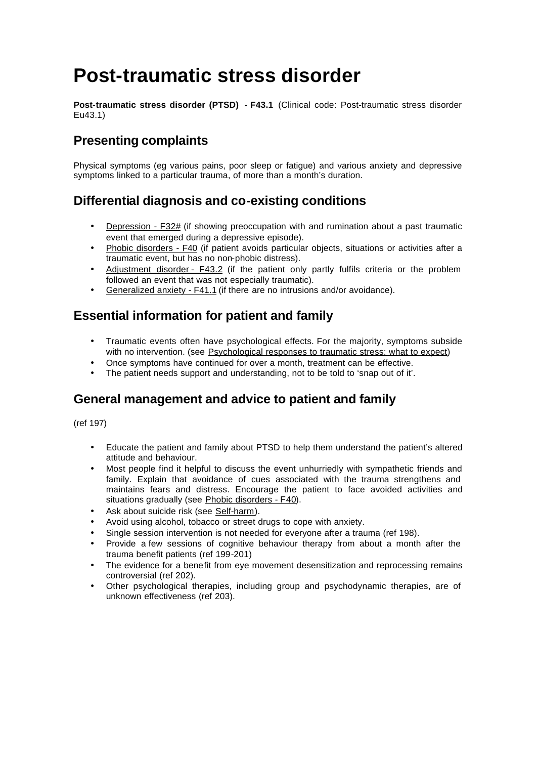# **Post-traumatic stress disorder**

**Post-traumatic stress disorder (PTSD) - F43.1** (Clinical code: Post-traumatic stress disorder Eu43.1)

# **Presenting complaints**

Physical symptoms (eg various pains, poor sleep or fatigue) and various anxiety and depressive symptoms linked to a particular trauma, of more than a month's duration.

# **Differential diagnosis and co-existing conditions**

- Depression F32# (if showing preoccupation with and rumination about a past traumatic event that emerged during a depressive episode).
- Phobic disorders F40 (if patient avoids particular objects, situations or activities after a traumatic event, but has no non-phobic distress).
- Adjustment disorder F43.2 (if the patient only partly fulfils criteria or the problem followed an event that was not especially traumatic).
- Generalized anxiety F41.1 (if there are no intrusions and/or avoidance).

### **Essential information for patient and family**

- Traumatic events often have psychological effects. For the majority, symptoms subside with no intervention. (see Psychological responses to traumatic stress: what to expect)
- Once symptoms have continued for over a month, treatment can be effective.
- The patient needs support and understanding, not to be told to 'snap out of it'.

## **General management and advice to patient and family**

(ref 197)

- Educate the patient and family about PTSD to help them understand the patient's altered attitude and behaviour.
- Most people find it helpful to discuss the event unhurriedly with sympathetic friends and family. Explain that avoidance of cues associated with the trauma strengthens and maintains fears and distress. Encourage the patient to face avoided activities and situations gradually (see Phobic disorders - F40).
- Ask about suicide risk (see Self-harm).
- Avoid using alcohol, tobacco or street drugs to cope with anxiety.
- Single session intervention is not needed for everyone after a trauma (ref 198).
- Provide a few sessions of cognitive behaviour therapy from about a month after the trauma benefit patients (ref 199-201)
- The evidence for a benefit from eye movement desensitization and reprocessing remains controversial (ref 202).
- Other psychological therapies, including group and psychodynamic therapies, are of unknown effectiveness (ref 203).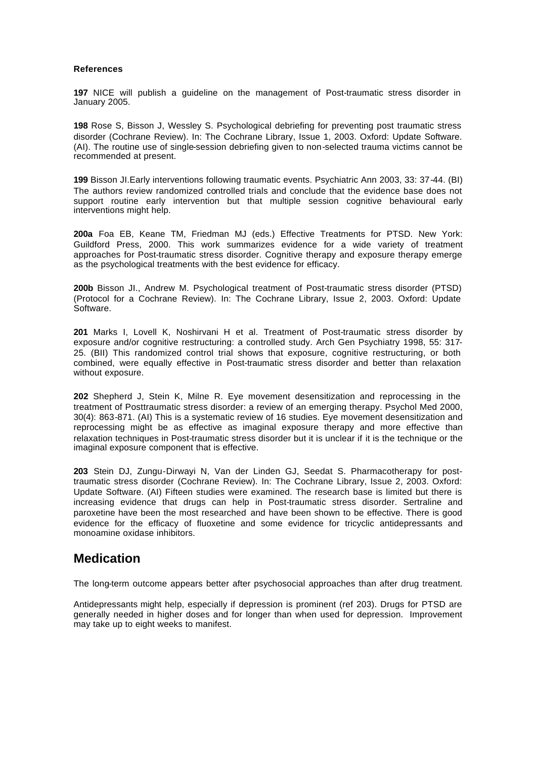#### **References**

**197** NICE will publish a guideline on the management of Post-traumatic stress disorder in January 2005.

**198** Rose S, Bisson J, Wessley S. Psychological debriefing for preventing post traumatic stress disorder (Cochrane Review). In: The Cochrane Library, Issue 1, 2003. Oxford: Update Software. (AI). The routine use of single-session debriefing given to non-selected trauma victims cannot be recommended at present.

**199** Bisson JI.Early interventions following traumatic events. Psychiatric Ann 2003, 33: 37-44. (BI) The authors review randomized controlled trials and conclude that the evidence base does not support routine early intervention but that multiple session cognitive behavioural early interventions might help.

**200a** Foa EB, Keane TM, Friedman MJ (eds.) Effective Treatments for PTSD. New York: Guildford Press, 2000. This work summarizes evidence for a wide variety of treatment approaches for Post-traumatic stress disorder. Cognitive therapy and exposure therapy emerge as the psychological treatments with the best evidence for efficacy.

**200b** Bisson JI., Andrew M. Psychological treatment of Post-traumatic stress disorder (PTSD) (Protocol for a Cochrane Review). In: The Cochrane Library, Issue 2, 2003. Oxford: Update Software.

**201** Marks I, Lovell K, Noshirvani H et al. Treatment of Post-traumatic stress disorder by exposure and/or cognitive restructuring: a controlled study. Arch Gen Psychiatry 1998, 55: 317- 25. (BII) This randomized control trial shows that exposure, cognitive restructuring, or both combined, were equally effective in Post-traumatic stress disorder and better than relaxation without exposure.

**202** Shepherd J, Stein K, Milne R. Eye movement desensitization and reprocessing in the treatment of Posttraumatic stress disorder: a review of an emerging therapy. Psychol Med 2000, 30(4): 863-871. (AI) This is a systematic review of 16 studies. Eye movement desensitization and reprocessing might be as effective as imaginal exposure therapy and more effective than relaxation techniques in Post-traumatic stress disorder but it is unclear if it is the technique or the imaginal exposure component that is effective.

**203** Stein DJ, Zungu-Dirwayi N, Van der Linden GJ, Seedat S. Pharmacotherapy for posttraumatic stress disorder (Cochrane Review). In: The Cochrane Library, Issue 2, 2003. Oxford: Update Software. (AI) Fifteen studies were examined. The research base is limited but there is increasing evidence that drugs can help in Post-traumatic stress disorder. Sertraline and paroxetine have been the most researched and have been shown to be effective. There is good evidence for the efficacy of fluoxetine and some evidence for tricyclic antidepressants and monoamine oxidase inhibitors.

### **Medication**

The long-term outcome appears better after psychosocial approaches than after drug treatment.

Antidepressants might help, especially if depression is prominent (ref 203). Drugs for PTSD are generally needed in higher doses and for longer than when used for depression. Improvement may take up to eight weeks to manifest.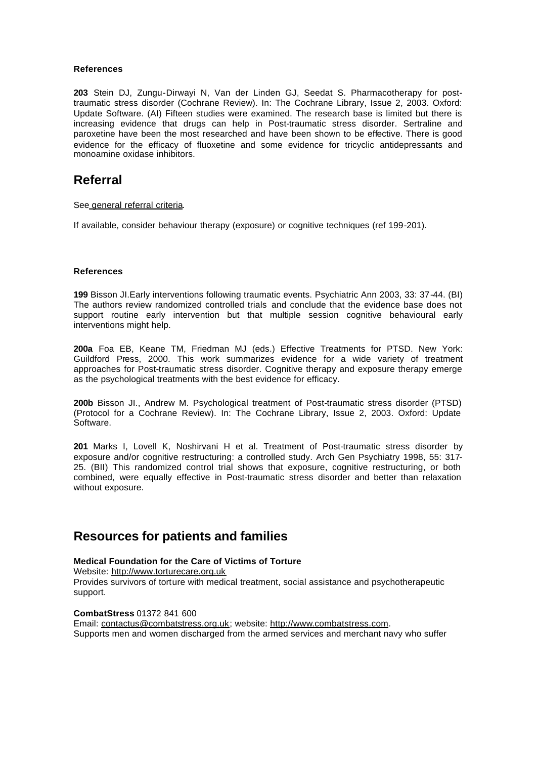#### **References**

**203** Stein DJ, Zungu-Dirwayi N, Van der Linden GJ, Seedat S. Pharmacotherapy for posttraumatic stress disorder (Cochrane Review). In: The Cochrane Library, Issue 2, 2003. Oxford: Update Software. (AI) Fifteen studies were examined. The research base is limited but there is increasing evidence that drugs can help in Post-traumatic stress disorder. Sertraline and paroxetine have been the most researched and have been shown to be effective. There is good evidence for the efficacy of fluoxetine and some evidence for tricyclic antidepressants and monoamine oxidase inhibitors.

### **Referral**

#### See general referral criteria.

If available, consider behaviour therapy (exposure) or cognitive techniques (ref 199-201).

#### **References**

**199** Bisson JI.Early interventions following traumatic events. Psychiatric Ann 2003, 33: 37-44. (BI) The authors review randomized controlled trials and conclude that the evidence base does not support routine early intervention but that multiple session cognitive behavioural early interventions might help.

**200a** Foa EB, Keane TM, Friedman MJ (eds.) Effective Treatments for PTSD. New York: Guildford Press, 2000. This work summarizes evidence for a wide variety of treatment approaches for Post-traumatic stress disorder. Cognitive therapy and exposure therapy emerge as the psychological treatments with the best evidence for efficacy.

**200b** Bisson JI., Andrew M. Psychological treatment of Post-traumatic stress disorder (PTSD) (Protocol for a Cochrane Review). In: The Cochrane Library, Issue 2, 2003. Oxford: Update Software.

**201** Marks I, Lovell K, Noshirvani H et al. Treatment of Post-traumatic stress disorder by exposure and/or cognitive restructuring: a controlled study. Arch Gen Psychiatry 1998, 55: 317- 25. (BII) This randomized control trial shows that exposure, cognitive restructuring, or both combined, were equally effective in Post-traumatic stress disorder and better than relaxation without exposure.

### **Resources for patients and families**

#### **Medical Foundation for the Care of Victims of Torture**

Website: http://www.torturecare.org.uk

Provides survivors of torture with medical treatment, social assistance and psychotherapeutic support.

**CombatStress** 01372 841 600

Email: contactus@combatstress.org.uk; website: http://www.combatstress.com. Supports men and women discharged from the armed services and merchant navy who suffer